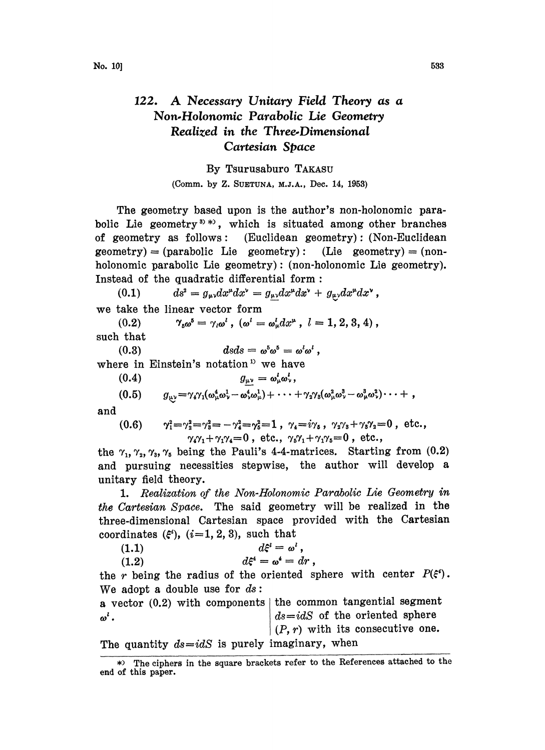## 122. A Necessary Unitary Field Theory as <sup>a</sup> Non.Holonomic Parabolic Lie Geometry Realized in the Three.Dimensional Cartesian Space

By Tsurusaburo TAKASU

(Comm. by Z. SUETUNA, M.J.A., Dec. 14, 1953)

The geometry based upon is the author's non-holonomie parabolic Lie geometry<sup>3</sup>, which is situated among other branches of geometry as follows: (Euclidean geometry): (Non-Euclidean  $geometry) = (parabolic Lie geometry):$  (Lie geometry) = (nonholonomic parabolic Lie geometry) : (non-holonomic Lie geometry). Instead of the quadratic differential form:

(0.1)  $ds^2 = g_{\mu\nu}dx^{\mu}dx^{\nu} = g_{\mu\nu}dx^{\mu}dx^{\nu} + g_{\mu\nu}dx^{\mu}dx^{\nu}$ , we take the linear vector form

(0.2)  $\gamma_{5\omega}^5 = \gamma_{i\omega}^i$ ,  $(\omega^i = \omega^i_{\mu} dx^{\mu}$ ,  $l=1,2,3,4)$ ,

such that

(0.3)  $dsds = \omega^5 \omega^5 = \omega^l \omega^l$ .

where in Einstein's notation<sup>1</sup> we have

(0.3)  $\qquad \qquad \text{as} \alpha s = \omega^s \omega^s =$ <br>
re in Einstein's notation<sup>15</sup> we have<br>
(0.4)  $g_{\mu\nu} = \omega^t_\mu \omega^t_\nu,$ 

$$
(0.5) \t g_{\mu\nu} = \gamma_4 \gamma_1 (\omega_\mu^4 \omega_\nu^1 - \omega_\nu^4 \omega_\mu^1) + \cdots + \gamma_2 \gamma_3 (\omega_\mu^2 \omega_\nu^3 - \omega_\mu^3 \omega_\nu^2) \cdots + ,
$$

and

(0.6) 
$$
\gamma_1^2 = \gamma_2^2 = \gamma_3^2 = -\gamma_4^2 = \gamma_5^2 = 1, \ \gamma_4 = i\gamma_5, \ \gamma_2\gamma_3 + \gamma_3\gamma_2 = 0, \ \text{etc.}, \gamma_4\gamma_1 + \gamma_1\gamma_4 = 0, \ \text{etc.}, \ \gamma_5\gamma_1 + \gamma_1\gamma_5 = 0, \ \text{etc.},
$$

the  $\gamma_1$ ,  $\gamma_2$ ,  $\gamma_3$ ,  $\gamma_5$  being the Pauli's 4-4-matrices. Starting from (0.2) and pursuing necessities stepwise, the author will develop a unitary field theory.

1. Realization of the Non-Holonomic Parabolic Lie Geometry in the Cartesian Space. The said geometry will be realized in the three-dimensional Cartesian space provided with the Cartesian

| coordinates $(\xi^i)$ , $(i=1, 2, 3)$ , such that |  |                            |                       |  |
|---------------------------------------------------|--|----------------------------|-----------------------|--|
| (1.1)                                             |  |                            | $d\xi^i = \omega^i$ , |  |
| (1.2)                                             |  | $d\xi^4 = \omega^4 = dr$ , |                       |  |
|                                                   |  |                            |                       |  |

the r being the radius of the oriented sphere with center  $P(\xi^3)$ . We adopt a double use for  $ds$ :

|                                                   | a vector $(0.2)$ with components   the common tangential segment |
|---------------------------------------------------|------------------------------------------------------------------|
| ര' .                                              | $\vert ds = idS$ of the oriented sphere                          |
|                                                   | $(P, r)$ with its consecutive one.                               |
| The quantity $ds = idS$ is purely imaginary, when |                                                                  |

<sup>\*)</sup> The ciphers in the square brackets refer to the References attached to the end of this paper.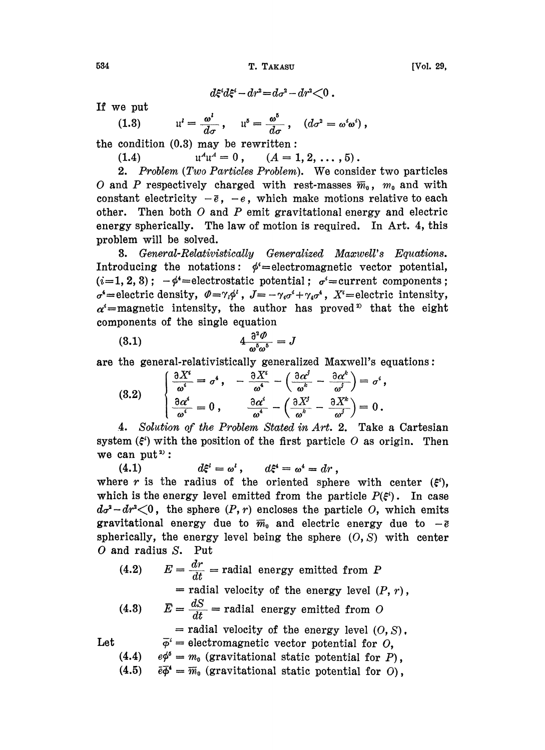T. TAKASU

**IVol. 29.** 

 $d\xi^{i}d\xi^{i} - dr^{i} = d\sigma^{i} - dr^{i} < 0$ .

If we put

(1.3) 
$$
\mathfrak{u}^{\prime} = \frac{\omega^{\prime}}{d\sigma}, \quad \mathfrak{u}^{\delta} = \frac{\omega^{\delta}}{d\sigma}, \quad (d\sigma^2 = \omega^{\iota}\omega^{\iota}),
$$

the condition  $(0.3)$  may be rewritten:

 $u^{\lambda}u^{\lambda}=0$ ,  $(A = 1, 2, \ldots, 5).$  $(1.4)$ 

2. Problem (Two Particles Problem). We consider two particles O and P respectively charged with rest-masses  $\bar{m}_0$ ,  $m_0$  and with constant electricity  $-\bar{e}$ ,  $-e$ , which make motions relative to each other. Then both  $O$  and  $P$  emit gravitational energy and electric energy spherically. The law of motion is required. In Art. 4, this problem will be solved.

**3.** General-Relativistically Generalized Maxwell's Equations. Introducing the notations:  $\phi^i$ =electromagnetic vector potential,  $(i=1, 2, 3);$   $-\phi^4$ =electrostatic potential;  $\sigma^4$ =current components;  $\sigma^4$  = electric density,  $\varphi = \gamma_i \phi^i$ ,  $J = -\gamma_i \sigma^i + \gamma_i \sigma^i$ ,  $X^i$  = electric intensity,  $\alpha^i$ =magnetic intensity, the author has proved<sup>2</sup> that the eight components of the single equation

$$
(3.1) \t\t 4 \frac{\partial^2 \varPhi}{\omega^5 \omega^5} = J
$$

are the general-relativistically generalized Maxwell's equations:

(3.2) 
$$
\begin{cases} \frac{\partial X^i}{\omega^i} = \sigma^4, & -\frac{\partial X^i}{\omega^4} - \left(\frac{\partial \alpha^j}{\omega^k} - \frac{\partial \alpha^k}{\omega^j}\right) = \sigma^i, \\ \frac{\partial \alpha^i}{\omega^i} = 0, & \frac{\partial \alpha^i}{\omega^4} - \left(\frac{\partial X^j}{\omega^k} - \frac{\partial X^k}{\omega^j}\right) = 0. \end{cases}
$$

4. Solution of the Problem Stated in Art. 2. Take a Cartesian system  $(\xi^i)$  with the position of the first particle O as origin. Then we can put<sup>2)</sup>:

 $d\xi^i = \omega^i$ ,  $d\xi^i = \omega^i = dr$ ,  $(4.1)$ where r is the radius of the oriented sphere with center  $(\xi^i)$ , which is the energy level emitted from the particle  $P(\xi^i)$ . In case  $d\sigma^2 - dr^2 \lt 0$ , the sphere  $(P, r)$  encloses the particle O, which emits gravitational energy due to  $\overline{m}_0$  and electric energy due to  $-\overline{e}$ spherically, the energy level being the sphere  $(0, S)$  with center  $O$  and radius  $S$ . Put

 $E = \frac{dr}{dt}$  = radial energy emitted from P  $(4.2)$ = radial velocity of the energy level  $(P, r)$ ,  $\bar{E} = \frac{dS}{dt}$  = radial energy emitted from O  $(4.3)$ 

= radial velocity of the energy level  $(0, S)$ ,

 $\overline{\varphi}^i$  = electromagnetic vector potential for O, Let

- $(4.4)$  $e\phi^5 = m_0$  (gravitational static potential for P),
- $\overline{e}\overline{\phi}^4 = \overline{m}_0$  (gravitational static potential for O),  $(4.5)$

534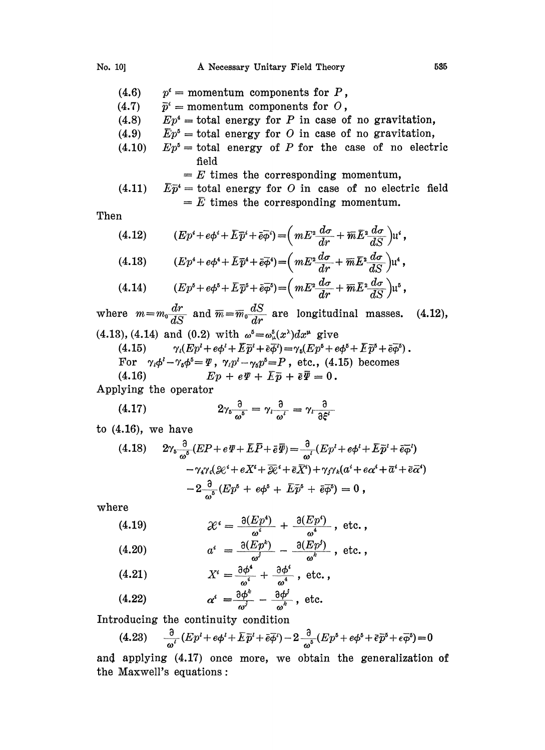- (4.6)  $p^i$  = momentum components for P,
- $(4.7)$  $\bar{p}^i$  = momentum components for O,
- (4.8)  $Ep^4$  = total energy for P in case of no gravitation,
- $(4.9)$  $E p^{\delta} =$  total energy for O in case of no gravitation,
- (4.10)  $Ep^5$  = total energy of P for the case of no electric field

 $E = E$  times the corresponding momentum,

(4.11)  $E\bar{p}^4$  = total energy for O in case of no electric field  $\overline{E}$  times the corresponding momentum.

Then

(4.12) 
$$
(Ep^i + e\phi^i + \overline{E}\overline{p}^i + \overline{e}\overline{\phi}^i) = \left( mE^2 \frac{d\sigma}{dr} + \overline{m}\overline{E}^2 \frac{d\sigma}{dS} \right) u^i,
$$
  
(4.12) 
$$
(Fn^4 + \overline{e}\overline{e}^4 + \overline{e}\overline{e}^4) = \left( mE^2 \frac{d\sigma}{dr} + \overline{m}\overline{E}^2 \frac{d\sigma}{dr} \right) u^i.
$$

(4.13) 
$$
(Ep^4 + e\phi^4 + \overline{E}\overline{p}^4 + \overline{e}\overline{\phi}^4) = \left( mE^2 \frac{d\sigma}{dr} + \overline{m}\overline{E}^2 \frac{d\sigma}{dS} \right) u^4,
$$

$$
(4.14) \qquad (Ep^5 + e\phi^5 + \overline{E}\,\overline{p}^5 + \overline{e}\overline{\phi}^5) = \left(mE^2\frac{d\sigma}{dr} + \overline{m}\,\overline{E}^2\frac{d\sigma}{dS}\right)\mathfrak{u}^5
$$

where  $m=m_0 \frac{dr}{dS}$  and  $\overline{m}=\overline{m}_0 \frac{dS}{dr}$  are longitudinal masses. (4.13), (4.14) and (0.2) with  $\omega^5 = \omega_{\mu}^5(x^{\lambda})dx^{\mu}$  give (4.15)  $\gamma_i (Ep^i + e\phi^i + \overline{E} \overline{p}^i + \overline{e} \overline{\phi}^i) = \gamma_i (Ep^i + e\phi^i + \overline{E} \overline{p}^i + \overline{e} \overline{\phi}^i).$ For  $\gamma_i \phi^i - \gamma_5 \phi^5 = \Psi$ ,  $\gamma_i p^i - \gamma_5 p^5 = P$ , etc., (4.15) becomes<br>(4.16)  $E p + e \Psi + \overline{E} \overline{p} + \overline{e} \overline{\Psi} = 0$ .  $Ep + e\Psi + \overline{E}\overline{p} + \overline{e}\overline{\Psi} = 0.$ Applying the operator (4.12),

$$
(4.17) \t2\gamma_5 \frac{\partial}{\omega^5} = \gamma_l \frac{\partial}{\omega^l} = \gamma_l \frac{\partial}{\partial \xi^l}
$$

to (4.16), we have

$$
(4.18) \quad 2\gamma_5 \frac{\partial}{\omega^5} (EP + e\Psi + \bar{E}\bar{P} + \bar{e}\bar{\Psi}) = \frac{\partial}{\omega^i} (Ep^i + e\phi^i + \bar{E}\bar{p}^i + \bar{e}\bar{\phi}^i) \n- \gamma_4 \gamma_i (2\mathcal{E}^i + eX^i + \bar{\mathcal{E}}^i + \bar{e}\bar{X}^i) + \gamma_j \gamma_k (a^i + e\alpha^i + \bar{a}^i + \bar{e}\bar{\alpha}^i) \n- 2\frac{\partial}{\omega^5} (Ep^5 + e\phi^5 + \bar{E}\bar{p}^5 + \bar{e}\bar{\phi}^6) = 0,
$$

where

$$
(4.19) \t\t\t\mathscr{X}^i = \frac{\partial (Ep^4)}{\omega^i} + \frac{\partial (Ep^i)}{\omega^4}, \text{ etc.},
$$

$$
(4.20) \t a^i = \frac{\partial (Ep^k)}{\omega^j} - \frac{\partial (Ep^j)}{\omega^k} , \text{ etc.},
$$

$$
(4.21) \t\t X^i = \frac{\partial \phi^i}{\omega^i} + \frac{\partial \phi^i}{\omega^i} \t, \text{ etc.} \t,
$$

$$
(4.22) \t\t\t\t\alpha^i = \frac{\partial \phi^k}{\omega^j} - \frac{\partial \phi^j}{\omega^k}, \text{ etc.}
$$

Introducing the continuity condition

$$
(4.23) \qquad \frac{\partial}{\omega^i}(Ep^i + e\phi^i + \overline{E}\overline{p}^i + \overline{e}\overline{\phi}^i) - 2\frac{\partial}{\omega^5}(Ep^5 + e\phi^5 + \overline{e}\overline{p}^5 + e\overline{\phi}^5) = 0
$$

and applying (4.17) once more, we obtain the generalization of the Maxwell's equations :<br>